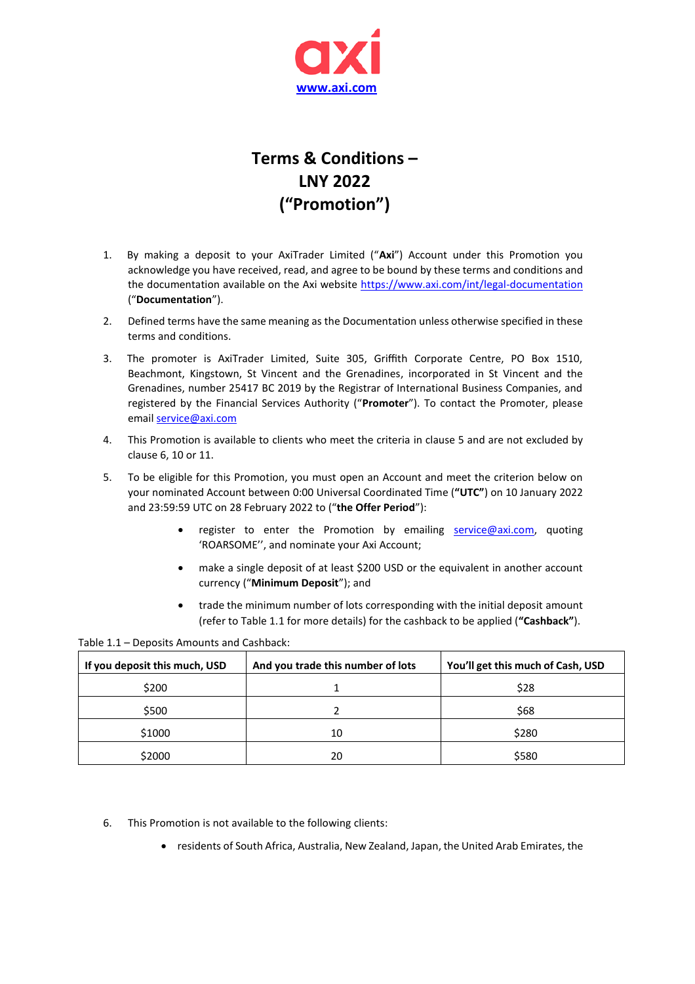

## **Terms & Conditions – LNY 2022 ("Promotion")**

- 1. By making a deposit to your AxiTrader Limited ("**Axi**") Account under this Promotion you acknowledge you have received, read, and agree to be bound by these terms and conditions and the documentation available on the Axi website <https://www.axi.com/int/legal-documentation> ("**Documentation**").
- 2. Defined terms have the same meaning as the Documentation unless otherwise specified in these terms and conditions.
- 3. The promoter is AxiTrader Limited, Suite 305, Griffith Corporate Centre, PO Box 1510, Beachmont, Kingstown, St Vincent and the Grenadines, incorporated in St Vincent and the Grenadines, number 25417 BC 2019 by the Registrar of International Business Companies, and registered by the Financial Services Authority ("**Promoter**"). To contact the Promoter, please email [service@axi.com](mailto:service@axi.com)
- 4. This Promotion is available to clients who meet the criteria in clause 5 and are not excluded by clause 6, 10 or 11.
- 5. To be eligible for this Promotion, you must open an Account and meet the criterion below on your nominated Account between 0:00 Universal Coordinated Time (**"UTC"**) on 10 January 2022 and 23:59:59 UTC on 28 February 2022 to ("**the Offer Period**"):
	- register to enter the Promotion by emailing [service@axi.com,](mailto:service@axi.com) quoting 'ROARSOME'', and nominate your Axi Account;
	- make a single deposit of at least \$200 USD or the equivalent in another account currency ("**Minimum Deposit**"); and
	- trade the minimum number of lots corresponding with the initial deposit amount (refer to Table 1.1 for more details) for the cashback to be applied (**"Cashback"**).

Table 1.1 – Deposits Amounts and Cashback:

| If you deposit this much, USD | And you trade this number of lots | You'll get this much of Cash, USD |
|-------------------------------|-----------------------------------|-----------------------------------|
| \$200                         |                                   | \$28                              |
| \$500                         |                                   | \$68                              |
| \$1000                        | 10                                | \$280                             |
| \$2000                        | 20                                | \$580                             |

- 6. This Promotion is not available to the following clients:
	- residents of South Africa, Australia, New Zealand, Japan, the United Arab Emirates, the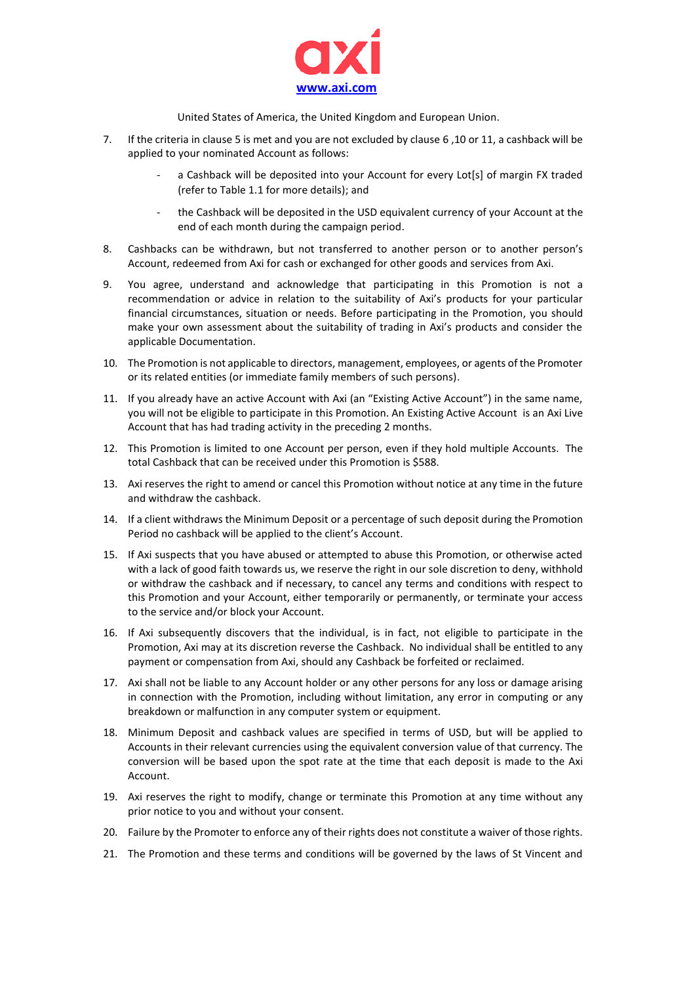

United States of America, the United Kingdom and European Union.

- 7. If the criteria in clause 5 is met and you are not excluded by clause 6 ,10 or 11, a cashback will be applied to your nominated Account as follows:
	- a Cashback will be deposited into your Account for every Lot[s] of margin FX traded (refer to Table 1.1 for more details); and
	- the Cashback will be deposited in the USD equivalent currency of your Account at the end of each month during the campaign period.
- 8. Cashbacks can be withdrawn, but not transferred to another person or to another person's Account, redeemed from Axi for cash or exchanged for other goods and services from Axi.
- 9. You agree, understand and acknowledge that participating in this Promotion is not a recommendation or advice in relation to the suitability of Axi's products for your particular financial circumstances, situation or needs. Before participating in the Promotion, you should make your own assessment about the suitability of trading in Axi's products and consider the applicable Documentation.
- 10. The Promotion is not applicable to directors, management, employees, or agents of the Promoter or its related entities (or immediate family members of such persons).
- 11. If you already have an active Account with Axi (an "Existing Active Account") in the same name, you will not be eligible to participate in this Promotion. An Existing Active Account is an Axi Live Account that has had trading activity in the preceding 2 months.
- 12. This Promotion is limited to one Account per person, even if they hold multiple Accounts. The total Cashback that can be received under this Promotion is \$588.
- 13. Axi reserves the right to amend or cancel this Promotion without notice at any time in the future and withdraw the cashback.
- 14. If a client withdraws the Minimum Deposit or a percentage of such deposit during the Promotion Period no cashback will be applied to the client's Account.
- 15. If Axi suspects that you have abused or attempted to abuse this Promotion, or otherwise acted with a lack of good faith towards us, we reserve the right in our sole discretion to deny, withhold or withdraw the cashback and if necessary, to cancel any terms and conditions with respect to this Promotion and your Account, either temporarily or permanently, or terminate your access to the service and/or block your Account.
- 16. If Axi subsequently discovers that the individual, is in fact, not eligible to participate in the Promotion, Axi may at its discretion reverse the Cashback. No individual shall be entitled to any payment or compensation from Axi, should any Cashback be forfeited or reclaimed.
- 17. Axi shall not be liable to any Account holder or any other persons for any loss or damage arising in connection with the Promotion, including without limitation, any error in computing or any breakdown or malfunction in any computer system or equipment.
- 18. Minimum Deposit and cashback values are specified in terms of USD, but will be applied to Accounts in their relevant currencies using the equivalent conversion value of that currency. The conversion will be based upon the spot rate at the time that each deposit is made to the Axi Account.
- 19. Axi reserves the right to modify, change or terminate this Promotion at any time without any prior notice to you and without your consent.
- 20. Failure by the Promoter to enforce any of their rights does not constitute a waiver of those rights.
- 21. The Promotion and these terms and conditions will be governed by the laws of St Vincent and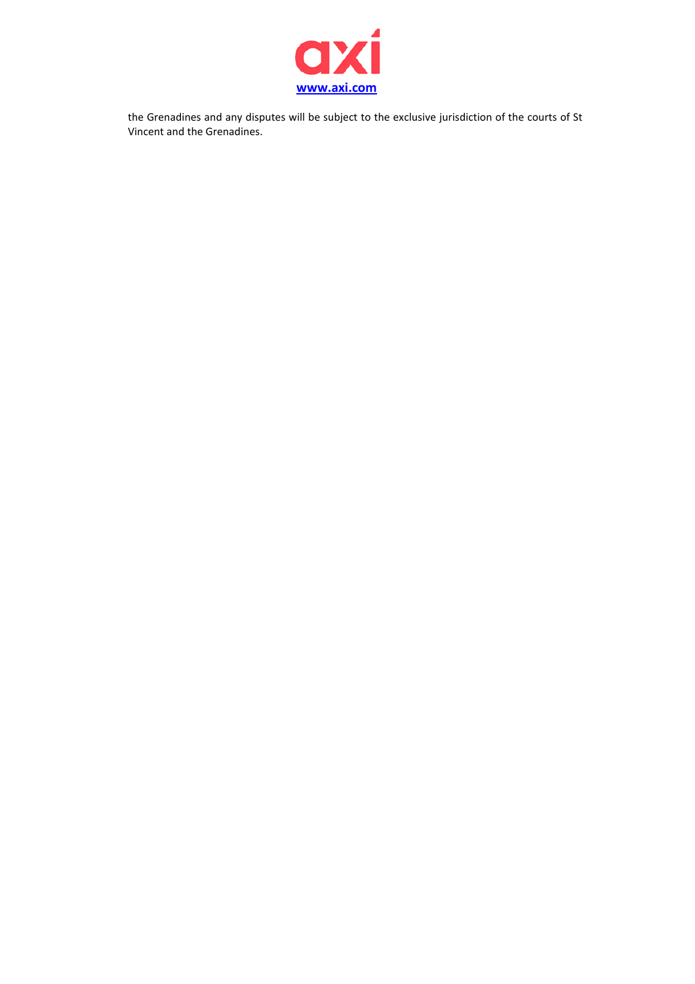

the Grenadines and any disputes will be subject to the exclusive jurisdiction of the courts of St Vincent and the Grenadines.